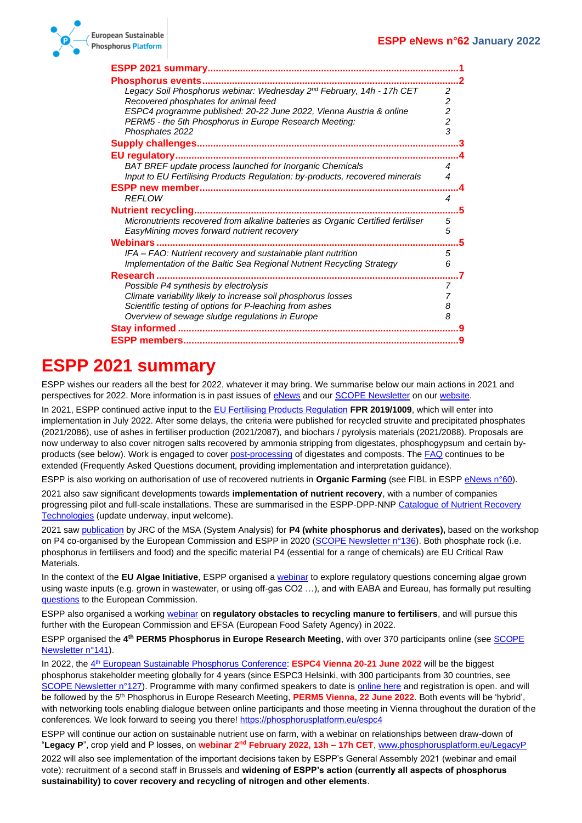

| <b>Phosphorus events.</b><br>                                                    |                |
|----------------------------------------------------------------------------------|----------------|
| Legacy Soil Phosphorus webinar: Wednesday 2nd February, 14h - 17h CET            | 2              |
| Recovered phosphates for animal feed                                             | 2              |
| ESPC4 programme published: 20-22 June 2022, Vienna Austria & online              | $\overline{c}$ |
| PERM5 - the 5th Phosphorus in Europe Research Meeting:                           | $\overline{c}$ |
| Phosphates 2022                                                                  | 3              |
|                                                                                  |                |
| EU regulatory                                                                    |                |
| BAT BREF update process launched for Inorganic Chemicals                         | 4              |
| Input to EU Fertilising Products Regulation: by-products, recovered minerals     | 4              |
|                                                                                  |                |
| <b>REFLOW</b>                                                                    | 4              |
| <b>Nutrient recycling</b>                                                        | 5              |
| Micronutrients recovered from alkaline batteries as Organic Certified fertiliser | 5              |
| EasyMining moves forward nutrient recovery                                       | 5              |
| <b>Webinars</b>                                                                  |                |
| IFA - FAO: Nutrient recovery and sustainable plant nutrition                     | 5              |
| Implementation of the Baltic Sea Regional Nutrient Recycling Strategy            | 6              |
| Research                                                                         |                |
| Possible P4 synthesis by electrolysis                                            | 7              |
| Climate variability likely to increase soil phosphorus losses                    |                |
| Scientific testing of options for P-leaching from ashes                          | 8              |
| Overview of sewage sludge regulations in Europe                                  | 8              |
|                                                                                  |                |
| <b>ESPP members.</b>                                                             |                |

# <span id="page-0-0"></span>**ESPP 2021 summary**

ESPP wishes our readers all the best for 2022, whatever it may bring. We summarise below our main actions in 2021 and perspectives for 2022. More information is in past issues o[f eNews](http://phosphorusplatform.eu/eNewsHome) and ou[r SCOPE Newsletter](https://phosphorusplatform.eu/scopenewsletter) on ou[r website.](http://www.phosphorusplatform.eu/)

In 2021, ESPP continued active input to th[e EU Fertilising Products Regulation](https://eur-lex.europa.eu/eli/reg/2019/1009) **FPR 2019/1009**, which will enter into implementation in July 2022. After some delays, the criteria were published for recycled struvite and precipitated phosphates (2021/2086), use of ashes in fertiliser production (2021/2087), and biochars / pyrolysis materials (2021/2088). Proposals are now underway to also cover nitrogen salts recovered by ammonia stripping from digestates, phosphogypsum and certain byproducts (see below). Work is engaged to cove[r post-processing](http://www.phosphorusplatform.eu/eNews059) of digestates and composts. The [FAQ](https://ec.europa.eu/docsroom/documents/48214) continues to be extended (Frequently Asked Questions document, providing implementation and interpretation guidance).

ESPP is also working on authorisation of use of recovered nutrients in **Organic Farming** (see FIBL in ESPP [eNews n°60\)](http://www.phosphorusplatform.eu/eNews060).

2021 also saw significant developments towards **implementation of nutrient recovery**, with a number of companies progressing pilot and full-scale installations. These are summarised in the ESPP-DPP-NN[P Catalogue of Nutrient Recovery](http://www.phosphorusplatform.eu/p-recovery-technology-inventory)  [Technologies](http://www.phosphorusplatform.eu/p-recovery-technology-inventory) (update underway, input welcome).

2021 sa[w publication](http://dx.doi.org/10.2760/677981) by JRC of the MSA (System Analysis) for **P4 (white phosphorus and derivates),** based on the workshop on P4 co-organised by the European Commission and ESPP in 2020 [\(SCOPE Newsletter n°136\)](http://www.phosphorusplatform.eu/Scope136). Both phosphate rock (i.e. phosphorus in fertilisers and food) and the specific material P4 (essential for a range of chemicals) are EU Critical Raw Materials.

In the context of the **EU Algae Initiative**, ESPP organised [a webinar](http://www.phosphorusplatform.eu/Scope140) to explore regulatory questions concerning algae grown using waste inputs (e.g. grown in wastewater, or using off-gas CO2 …), and with EABA and Eureau, has formally put resulting [questions](http://www.phosphorusplatform.eu/regulatory) to the European Commission.

ESPP also organised a working [webinar](http://www.phosphorusplatform.eu/eNews061) on **regulatory obstacles to recycling manure to fertilisers**, and will pursue this further with the European Commission and EFSA (European Food Safety Agency) in 2022.

ESPP organised the 4<sup>th</sup> PERM5 Phosphorus in Europe Research Meeting, with over 370 participants online (see SCOPE [Newsletter n°141\)](http://www.phosphorusplatform.eu/Scope141).

In 2022, the 4<sup>th</sup> [European Sustainable Phosphorus Conference:](https://phosphorusplatform.eu/espc4) **ESPC4 Vienna 20-21 June 2022** will be the biggest phosphorus stakeholder meeting globally for 4 years (since ESPC3 Helsinki, with 300 participants from 30 countries, see [SCOPE Newsletter n°127\)](http://www.phosphorusplatform.eu/Scope127). Programme with many confirmed speakers to date is [online here](https://phosphorusplatform.eu/espc4) and registration is open. and will be followed by the 5<sup>th</sup> Phosphorus in Europe Research Meeting, PERM5 Vienna, 22 June 2022. Both events will be 'hybrid', with networking tools enabling dialogue between online participants and those meeting in Vienna throughout the duration of the conferences. We look forward to seeing you there[! https://phosphorusplatform.eu/espc4](https://phosphorusplatform.eu/espc4)

ESPP will continue our action on sustainable nutrient use on farm, with a webinar on relationships between draw-down of "**Legacy P**", crop yield and P losses, on **webinar 2nd February 2022, 13h – 17h CET**, [www.phosphorusplatform.eu/LegacyP](http://www.phosphorusplatform.eu/LegacyP)

2022 will also see implementation of the important decisions taken by ESPP's General Assembly 2021 (webinar and email vote): recruitment of a second staff in Brussels and **widening of ESPP's action (currently all aspects of phosphorus sustainability) to cover recovery and recycling of nitrogen and other elements**.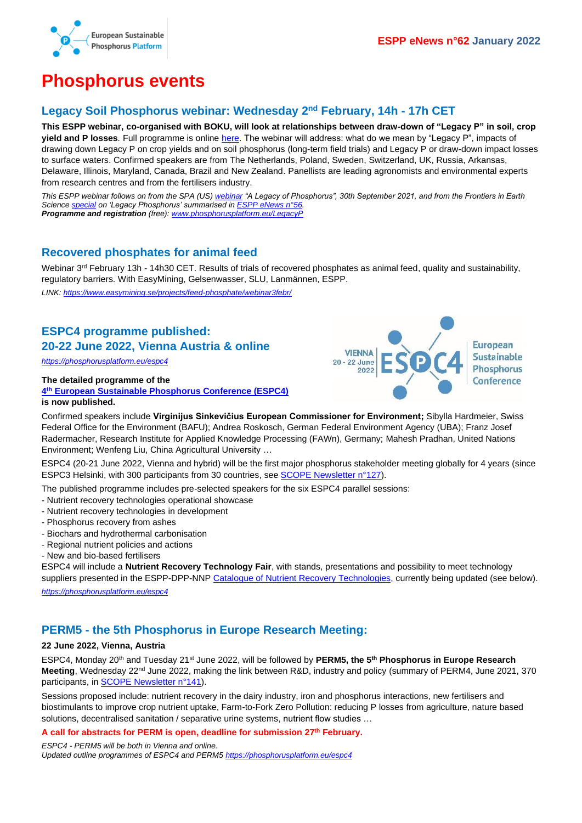

### <span id="page-1-0"></span>**Phosphorus events**

### <span id="page-1-1"></span>**Legacy Soil Phosphorus webinar: Wednesday 2 nd February, 14h - 17h CET**

**This ESPP webinar, co-organised with BOKU, will look at relationships between draw-down of "Legacy P" in soil, crop yield and P losses***.* Full programme is onlin[e here.](http://www.phosphorusplatform.eu/LegacyP) The webinar will address: what do we mean by "Legacy P", impacts of drawing down Legacy P on crop yields and on soil phosphorus (long-term field trials) and Legacy P or draw-down impact losses to surface waters. Confirmed speakers are from The Netherlands, Poland, Sweden, Switzerland, UK, Russia, Arkansas, Delaware, Illinois, Maryland, Canada, Brazil and New Zealand. Panellists are leading agronomists and environmental experts from research centres and from the fertilisers industry.

*This ESPP webinar follows on from the SPA (US) [webinar](https://www.youtube.com/watch?v=Usg5ddHvHDY) "A Legacy of Phosphorus", 30th September 2021, and from the Frontiers in Earth Scienc[e special](https://www.frontiersin.org/research-topics/10116/legacy-phosphorus-in-agriculture-role-of-past-management-and-perspectives-for-the-future#articles) on 'Legacy Phosphorus' summarised i[n ESPP eNews n°56.](http://www.phosphorusplatform.eu/eNews056) Programme and registration (free)[: www.phosphorusplatform.eu/LegacyP](http://www.phosphorusplatform.eu/LegacyP)*

#### <span id="page-1-2"></span>**Recovered phosphates for animal feed**

Webinar 3<sup>rd</sup> February 13h - 14h30 CET. Results of trials of recovered phosphates as animal feed, quality and sustainability, regulatory barriers. With EasyMining, Gelsenwasser, SLU, Lanmännen, ESPP.

*LINK:<https://www.easymining.se/projects/feed-phosphate/webinar3febr/>*

### <span id="page-1-3"></span>**ESPC4 programme published: 20-22 June 2022, Vienna Austria & online**

*<https://phosphorusplatform.eu/espc4>*

### **The detailed programme of the**

**4 th [European Sustainable Phosphorus Conference \(ESPC4\)](https://phosphorusplatform.eu/espc4) is now published.**



Confirmed speakers include **Virginijus Sinkevičius European Commissioner for Environment;** Sibylla Hardmeier, Swiss Federal Office for the Environment (BAFU); Andrea Roskosch, German Federal Environment Agency (UBA); Franz Josef Radermacher, Research Institute for Applied Knowledge Processing (FAWn), Germany; Mahesh Pradhan, United Nations Environment; Wenfeng Liu, China Agricultural University …

ESPC4 (20-21 June 2022, Vienna and hybrid) will be the first major phosphorus stakeholder meeting globally for 4 years (since ESPC3 Helsinki, with 300 participants from 30 countries, see [SCOPE Newsletter n°127\)](http://www.phosphorusplatform.eu/Scope127).

The published programme includes pre-selected speakers for the six ESPC4 parallel sessions:

- Nutrient recovery technologies operational showcase
- Nutrient recovery technologies in development
- Phosphorus recovery from ashes
- Biochars and hydrothermal carbonisation
- Regional nutrient policies and actions
- New and bio-based fertilisers

ESPC4 will include a **Nutrient Recovery Technology Fair**, with stands, presentations and possibility to meet technology suppliers presented in the ESPP-DPP-NNP [Catalogue of Nutrient Recovery Technologies,](http://www.phosphorusplatform.eu/p-recovery-technology-inventory) currently being updated (see below).

*<https://phosphorusplatform.eu/espc4>*

#### <span id="page-1-4"></span>**PERM5 - the 5th Phosphorus in Europe Research Meeting:**

#### **22 June 2022, Vienna, Austria**

ESPC4, Monday 20th and Tuesday 21st June 2022, will be followed by **PERM5, the 5th Phosphorus in Europe Research Meeting**, Wednesday 22<sup>nd</sup> June 2022, making the link between R&D, industry and policy (summary of PERM4, June 2021, 370 participants, in **SCOPE Newsletter n°141**).

Sessions proposed include: nutrient recovery in the dairy industry, iron and phosphorus interactions, new fertilisers and biostimulants to improve crop nutrient uptake, Farm-to-Fork Zero Pollution: reducing P losses from agriculture, nature based solutions, decentralised sanitation / separative urine systems, nutrient flow studies …

**A call for abstracts for PERM is open, deadline for submission 27th February.**

*ESPC4 - PERM5 will be both in Vienna and online. Updated outline programmes of ESPC4 and PERM5 <https://phosphorusplatform.eu/espc4>*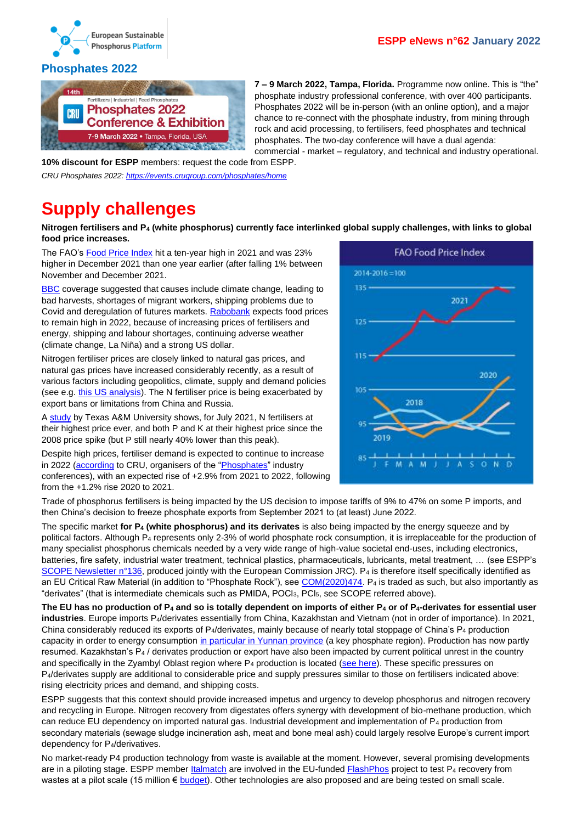

#### <span id="page-2-0"></span>**Phosphates 2022**



**7 – 9 March 2022, Tampa, Florida.** Programme now online. This is "the" phosphate industry professional conference, with over 400 participants. Phosphates 2022 will be in-person (with an online option), and a major chance to re-connect with the phosphate industry, from mining through rock and acid processing, to fertilisers, feed phosphates and technical phosphates. The two-day conference will have a dual agenda:

commercial - market – regulatory, and technical and industry operational.

**10% discount for ESPP** members: request the code from ESPP. *CRU Phosphates 2022: <https://events.crugroup.com/phosphates/home>*

## <span id="page-2-1"></span>**Supply challenges**

**Nitrogen fertilisers and P<sup>4</sup> (white phosphorus) currently face interlinked global supply challenges, with links to global food price increases.**

The FAO's [Food Price Index](https://www.fao.org/worldfoodsituation/foodpricesindex/en/) hit a ten-year high in 2021 and was 23% higher in December 2021 than one year earlier (after falling 1% between November and December 2021.

**[BBC](https://www.bbc.com/news/business-59172665)** coverage suggested that causes include climate change, leading to bad harvests, shortages of migrant workers, shipping problems due to Covid and deregulation of futures markets[. Rabobank](https://research.rabobank.com/far/en/sectors/agri-commodity-markets/ACMR_Outlook_2022.html) expects food prices to remain high in 2022, because of increasing prices of fertilisers and energy, shipping and labour shortages, continuing adverse weather (climate change, La Niña) and a strong US dollar.

Nitrogen fertiliser prices are closely linked to natural gas prices, and natural gas prices have increased considerably recently, as a result of various factors including geopolitics, climate, supply and demand policies (see e.g. [this US analysis\)](https://www.forbes.com/sites/energyinnovation/2021/11/15/with-high-natural-gas-prices-now-is-the-time-to-build-back-better/). The N fertiliser price is being exacerbated by export bans or limitations from China and Russia.

A [study](https://afpc.tamu.edu/research/publications/files/711/BP-22-01-Fertilizer.pdf) by Texas A&M University shows, for July 2021, N fertilisers at their highest price ever, and both P and K at their highest price since the 2008 price spike (but P still nearly 40% lower than this peak).

Despite high prices, fertiliser demand is expected to continue to increase in 2022 [\(according](https://www.dtnpf.com/agriculture/web/ag/crops/article/2021/12/15/geopolitical-trade-disputes-darken) to CRU, organisers of the ["Phosphates"](https://events.crugroup.com/phosphates/home) industry conferences), with an expected rise of +2.9% from 2021 to 2022, following from the +1.2% rise 2020 to 2021.



Trade of phosphorus fertilisers is being impacted by the US decision to impose tariffs of 9% to 47% on some P imports, and then China's decision to freeze phosphate exports from September 2021 to (at least) June 2022.

The specific market **for P<sup>4</sup> (white phosphorus) and its derivates** is also being impacted by the energy squeeze and by political factors. Although P<sup>4</sup> represents only 2-3% of world phosphate rock consumption, it is irreplaceable for the production of many specialist phosphorus chemicals needed by a very wide range of high-value societal end-uses, including electronics, batteries, fire safety, industrial water treatment, technical plastics, pharmaceuticals, lubricants, metal treatment, … (see ESPP's [SCOPE Newsletter n°136,](http://www.phosphorusplatform.eu/Scope136) produced jointly with the European Commission JRC). P<sub>4</sub> is therefore itself specifically identified as an EU Critical Raw Material (in addition to "Phosphate Rock"), se[e COM\(2020\)474.](https://eur-lex.europa.eu/legal-content/EN/TXT/?uri=CELEX:52020DC0474) P<sub>4</sub> is traded as such, but also importantly as "derivates" (that is intermediate chemicals such as PMIDA, POCl3, PCl5, see SCOPE referred above).

**The EU has no production of P<sup>4</sup> and so is totally dependent on imports of either P<sup>4</sup> or of P4-derivates for essential user industries**. Europe imports P4/derivates essentially from China, Kazakhstan and Vietnam (not in order of importance). In 2021, China considerably reduced its exports of P4/derivates, mainly because of nearly total stoppage of China's P<sup>4</sup> production capacity in order to energy consumptio[n in particular in Yunnan province](https://www.argusmedia.com/en/news/2254118-chinas-yunnan-sets-energy-limits-for-fertilizer-sector) (a key phosphate region). Production has now partly resumed. Kazakhstan's P<sup>4</sup> / derivates production or export have also been impacted by current political unrest in the country and specifically in the Zyambyl Oblast region where  $P_4$  production is located [\(see here\)](https://urldefense.com/v3/__https:/world-today-news.com/protests-in-kazakhstan-red-threat-level-introduced-in-zhambyl-oblast-january-8/__;!!JrQhzo9tgg!2voUFhbypth5v4OnWP2c87wnbgNxyWD4MaiOyfsi_AHPrBefHOzLiSnDNorEYJgiVmk$). These specific pressures on P<sub>4</sub>/derivates supply are additional to considerable price and supply pressures similar to those on fertilisers indicated above: rising electricity prices and demand, and shipping costs.

ESPP suggests that this context should provide increased impetus and urgency to develop phosphorus and nitrogen recovery and recycling in Europe. Nitrogen recovery from digestates offers synergy with development of bio-methane production, which can reduce EU dependency on imported natural gas. Industrial development and implementation of P<sup>4</sup> production from secondary materials (sewage sludge incineration ash, meat and bone meal ash) could largely resolve Europe's current import dependency for P4/derivatives.

No market-ready P4 production technology from waste is available at the moment. However, several promising developments are in a piloting stage. ESPP member *Italmatch* are involved in the EU-funded [FlashPhos](https://flashphos-project.eu/) project to test P<sub>4</sub> recovery from wastes at a pilot scale (15 million € [budget\)](https://cordis.europa.eu/project/id/958267/fr). Other technologies are also proposed and are being tested on small scale.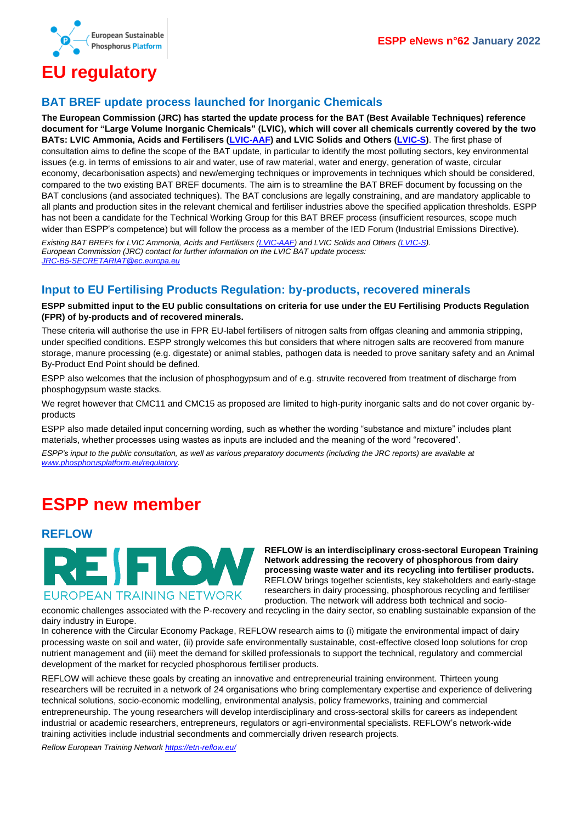

# <span id="page-3-0"></span>**EU regulatory**

#### <span id="page-3-1"></span>**BAT BREF update process launched for Inorganic Chemicals**

**The European Commission (JRC) has started the update process for the BAT (Best Available Techniques) reference document for "Large Volume Inorganic Chemicals" (LVIC), which will cover all chemicals currently covered by the two BATs: LVIC Ammonia, Acids and Fertilisers [\(LVIC-AAF\)](https://eippcb.jrc.ec.europa.eu/reference/large-volume-inorganic-chemicals-ammonia-acids-and-fertilisers) and LVIC Solids and Others [\(LVIC-S\)](https://eippcb.jrc.ec.europa.eu/reference/large-volume-inorganic-chemicals-solids-and-others-industry)**. The first phase of consultation aims to define the scope of the BAT update, in particular to identify the most polluting sectors, key environmental issues (e.g. in terms of emissions to air and water, use of raw material, water and energy, generation of waste, circular economy, decarbonisation aspects) and new/emerging techniques or improvements in techniques which should be considered, compared to the two existing BAT BREF documents. The aim is to streamline the BAT BREF document by focussing on the BAT conclusions (and associated techniques). The BAT conclusions are legally constraining, and are mandatory applicable to all plants and production sites in the relevant chemical and fertiliser industries above the specified application thresholds. ESPP has not been a candidate for the Technical Working Group for this BAT BREF process (insufficient resources, scope much wider than ESPP's competence) but will follow the process as a member of the IED Forum (Industrial Emissions Directive).

*Existing BAT BREFs for LVIC Ammonia, Acids and Fertilisers [\(LVIC-AAF\)](https://eippcb.jrc.ec.europa.eu/reference/large-volume-inorganic-chemicals-ammonia-acids-and-fertilisers) and LVIC Solids and Others [\(LVIC-S\)](https://eippcb.jrc.ec.europa.eu/reference/large-volume-inorganic-chemicals-solids-and-others-industry). European Commission (JRC) contact for further information on the LVIC BAT update process: [JRC-B5-SECRETARIAT@ec.europa.eu](mailto:JRC-B5-SECRETARIAT@ec.europa.eu)*

### <span id="page-3-2"></span>**Input to EU Fertilising Products Regulation: by-products, recovered minerals**

**ESPP submitted input to the EU public consultations on criteria for use under the EU Fertilising Products Regulation (FPR) of by-products and of recovered minerals.**

These criteria will authorise the use in FPR EU-label fertilisers of nitrogen salts from offgas cleaning and ammonia stripping, under specified conditions. ESPP strongly welcomes this but considers that where nitrogen salts are recovered from manure storage, manure processing (e.g. digestate) or animal stables, pathogen data is needed to prove sanitary safety and an Animal By-Product End Point should be defined.

ESPP also welcomes that the inclusion of phosphogypsum and of e.g. struvite recovered from treatment of discharge from phosphogypsum waste stacks.

We regret however that CMC11 and CMC15 as proposed are limited to high-purity inorganic salts and do not cover organic byproducts

ESPP also made detailed input concerning wording, such as whether the wording "substance and mixture" includes plant materials, whether processes using wastes as inputs are included and the meaning of the word "recovered".

*ESPP's input to the public consultation, as well as various preparatory documents (including the JRC reports) are available at [www.phosphorusplatform.eu/regulatory.](http://www.phosphorusplatform.eu/regulatory)* 

# <span id="page-3-3"></span>**ESPP new member**

#### <span id="page-3-4"></span>**REFLOW**



**REFLOW is an interdisciplinary cross-sectoral European Training Network addressing the recovery of phosphorous from dairy processing waste water and its recycling into fertiliser products.**  REFLOW brings together scientists, key stakeholders and early-stage researchers in dairy processing, phosphorous recycling and fertiliser production. The network will address both technical and socio-

economic challenges associated with the P-recovery and recycling in the dairy sector, so enabling sustainable expansion of the dairy industry in Europe.

In coherence with the Circular Economy Package, REFLOW research aims to (i) mitigate the environmental impact of dairy processing waste on soil and water, (ii) provide safe environmentally sustainable, cost-effective closed loop solutions for crop nutrient management and (iii) meet the demand for skilled professionals to support the technical, regulatory and commercial development of the market for recycled phosphorous fertiliser products.

REFLOW will achieve these goals by creating an innovative and entrepreneurial training environment. Thirteen young researchers will be recruited in a network of 24 organisations who bring complementary expertise and experience of delivering technical solutions, socio-economic modelling, environmental analysis, policy frameworks, training and commercial entrepreneurship. The young researchers will develop interdisciplinary and cross-sectoral skills for careers as independent industrial or academic researchers, entrepreneurs, regulators or agri-environmental specialists. REFLOW's network-wide training activities include industrial secondments and commercially driven research projects.

*Reflow European Training Network<https://etn-reflow.eu/>*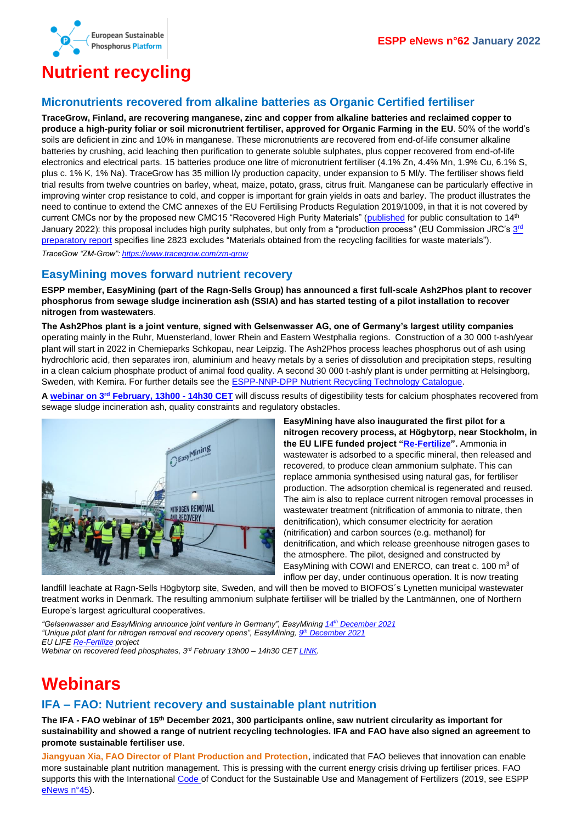

# <span id="page-4-0"></span>**Nutrient recycling**

#### <span id="page-4-1"></span>**Micronutrients recovered from alkaline batteries as Organic Certified fertiliser**

**TraceGrow, Finland, are recovering manganese, zinc and copper from alkaline batteries and reclaimed copper to produce a high-purity foliar or soil micronutrient fertiliser, approved for Organic Farming in the EU**. 50% of the world's soils are deficient in zinc and 10% in manganese. These micronutrients are recovered from end-of-life consumer alkaline batteries by crushing, acid leaching then purification to generate soluble sulphates, plus copper recovered from end-of-life electronics and electrical parts. 15 batteries produce one litre of micronutrient fertiliser (4.1% Zn, 4.4% Mn, 1.9% Cu, 6.1% S, plus c. 1% K, 1% Na). TraceGrow has 35 million l/y production capacity, under expansion to 5 Ml/y. The fertiliser shows field trial results from twelve countries on barley, wheat, maize, potato, grass, citrus fruit. Manganese can be particularly effective in improving winter crop resistance to cold, and copper is important for grain yields in oats and barley. The product illustrates the need to continue to extend the CMC annexes of the EU Fertilising Products Regulation 2019/1009, in that it is not covered by current CMCs nor by the proposed new CMC15 "Recovered High Purity Materials" [\(published](https://ec.europa.eu/info/law/better-regulation/have-your-say/initiatives/13113-Fertilisers-high-purity-materials-in-EU-fertilising-products_en) for public consultation to 14<sup>th</sup> January 2022): this proposal includes high purity sulphates, but only from a "production process" (EU Commission JRC's [3](https://circabc.europa.eu/ui/group/36ec94c7-575b-44dc-a6e9-4ace02907f2f/library/785d1835-07b3-4b3c-a46a-e269a33c74c7/details)<sup>rd</sup> [preparatory report](https://circabc.europa.eu/ui/group/36ec94c7-575b-44dc-a6e9-4ace02907f2f/library/785d1835-07b3-4b3c-a46a-e269a33c74c7/details) specifies line 2823 excludes "Materials obtained from the recycling facilities for waste materials"). *TraceGow "ZM-Grow":<https://www.tracegrow.com/zm-grow>*

#### <span id="page-4-2"></span>**EasyMining moves forward nutrient recovery**

**ESPP member, EasyMining (part of the Ragn-Sells Group) has announced a first full-scale Ash2Phos plant to recover phosphorus from sewage sludge incineration ash (SSIA) and has started testing of a pilot installation to recover nitrogen from wastewaters**.

**The Ash2Phos plant is a joint venture, signed with Gelsenwasser AG, one of Germany's largest utility companies** operating mainly in the Ruhr, Muensterland, lower Rhein and Eastern Westphalia regions. Construction of a 30 000 t-ash/year plant will start in 2022 in Chemieparks Schkopau, near Leipzig. The Ash2Phos process leaches phosphorus out of ash using hydrochloric acid, then separates iron, aluminium and heavy metals by a series of dissolution and precipitation steps, resulting in a clean calcium phosphate product of animal food quality. A second 30 000 t-ash/y plant is under permitting at Helsingborg, Sweden, with Kemira. For further details see the **ESPP-NNP-DPP Nutrient Recycling Technology Catalogue**.

**A webinar on 3rd [February, 13h00 -](https://www.easymining.se/projects/feed-phosphate/webinar3febr/) 14h30 CET** will discuss results of digestibility tests for calcium phosphates recovered from sewage sludge incineration ash, quality constraints and regulatory obstacles.



**EasyMining have also inaugurated the first pilot for a nitrogen recovery process, at Högbytorp, near Stockholm, in the EU LIFE funded project ["Re-Fertilize"](https://www.easymining.se/projects/re-fertilize/).** Ammonia in wastewater is adsorbed to a specific mineral, then released and recovered, to produce clean ammonium sulphate. This can replace ammonia synthesised using natural gas, for fertiliser production. The adsorption chemical is regenerated and reused. The aim is also to replace current nitrogen removal processes in wastewater treatment (nitrification of ammonia to nitrate, then denitrification), which consumer electricity for aeration (nitrification) and carbon sources (e.g. methanol) for denitrification, and which release greenhouse nitrogen gases to the atmosphere. The pilot, designed and constructed by EasyMining with COWI and ENERCO, can treat c. 100 m<sup>3</sup> of inflow per day, under continuous operation. It is now treating

landfill leachate at Ragn-Sells Högbytorp site, Sweden, and will then be moved to BIOFOS´s Lynetten municipal wastewater treatment works in Denmark. The resulting ammonium sulphate fertiliser will be trialled by the Lantmännen, one of Northern Europe's largest agricultural cooperatives.

*"Gelsenwasser and EasyMining announce joint venture in Germany", EasyMining 14th [December 2021](https://newsroom.ragnsells.com/posts/pressreleases/gelsenwasser-and-easymining-announce-joint-ve) "Unique pilot plant for nitrogen removal and recovery opens", EasyMining, 9 th [December 2021](https://newsroom.easymining.se/posts/pressreleases/unique-pilot-plant-for-nitrogen-removal-and-r) EU LIFE [Re-Fertilize](https://www.easymining.se/projects/re-fertilize/) project*

*Webinar on recovered feed phosphates, 3rd February 13h00 – 14h30 CE[T LINK.](https://www.easymining.se/projects/feed-phosphate/webinar3febr/)*

# <span id="page-4-3"></span>**Webinars**

### <span id="page-4-4"></span>**IFA – FAO: Nutrient recovery and sustainable plant nutrition**

**The IFA - FAO webinar of 15th December 2021, 300 participants online, saw nutrient circularity as important for sustainability and showed a range of nutrient recycling technologies. IFA and FAO have also signed an agreement to promote sustainable fertiliser use**.

**Jiangyuan Xia, FAO Director of Plant Production and Protection**, indicated that FAO believes that innovation can enable more sustainable plant nutrition management. This is pressing with the current energy crisis driving up fertiliser prices. FAO supports this with the International [Code o](http://www.fao.org/documents/card/en/c/ca5253en/)f Conduct for the Sustainable Use and Management of Fertilizers (2019, see ESPP [eNews n°45\)](http://www.phosphorusplatform.eu/eNews045).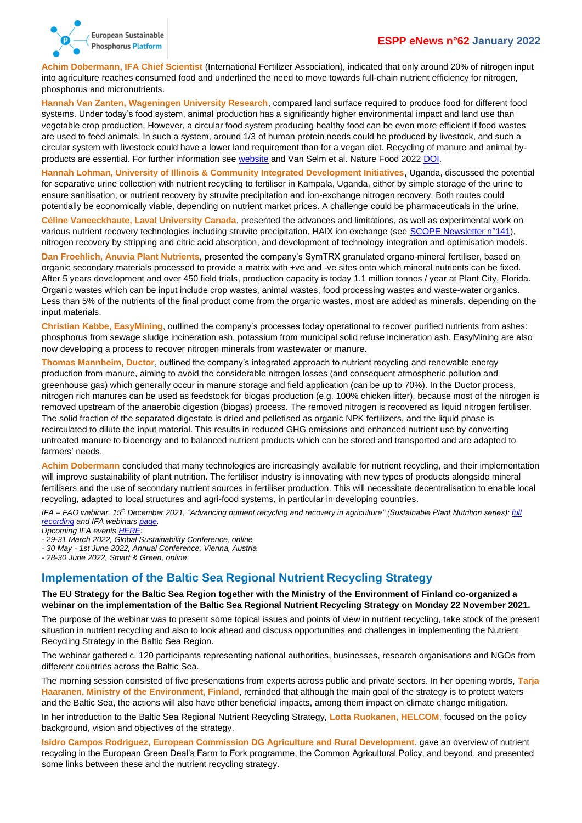#### **ESPP eNews n°62 January 2022**



**Achim Dobermann, IFA Chief Scientist** (International Fertilizer Association), indicated that only around 20% of nitrogen input into agriculture reaches consumed food and underlined the need to move towards full-chain nutrient efficiency for nitrogen, phosphorus and micronutrients.

**Hannah Van Zanten, Wageningen University Research**, compared land surface required to produce food for different food systems. Under today's food system, animal production has a significantly higher environmental impact and land use than vegetable crop production. However, a circular food system producing healthy food can be even more efficient if food wastes are used to feed animals. In such a system, around 1/3 of human protein needs could be produced by livestock, and such a circular system with livestock could have a lower land requirement than for a vegan diet. Recycling of manure and animal byproducts are essential. For further information see [website](http://www.circularfoodsystems.org/) and Van Selm et al. Nature Food 2022 [DOI.](https://doi.org/10.1038/s43016-021-00425-3) 

**Hannah Lohman, University of Illinois & Community Integrated Development Initiatives**, Uganda, discussed the potential for separative urine collection with nutrient recycling to fertiliser in Kampala, Uganda, either by simple storage of the urine to ensure sanitisation, or nutrient recovery by struvite precipitation and ion-exchange nitrogen recovery. Both routes could potentially be economically viable, depending on nutrient market prices. A challenge could be pharmaceuticals in the urine.

**Céline Vaneeckhaute, Laval University Canada**, presented the advances and limitations, as well as experimental work on various nutrient recovery technologies including struvite precipitation, HAIX ion exchange (see [SCOPE Newsletter n°141\)](http://www.phosphorusplatform.eu/Scope141), nitrogen recovery by stripping and citric acid absorption, and development of technology integration and optimisation models.

**Dan Froehlich, Anuvia Plant Nutrients**, presented the company's SymTRX granulated organo-mineral fertiliser, based on organic secondary materials processed to provide a matrix with +ve and -ve sites onto which mineral nutrients can be fixed. After 5 years development and over 450 field trials, production capacity is today 1.1 million tonnes / year at Plant City, Florida. Organic wastes which can be input include crop wastes, animal wastes, food processing wastes and waste-water organics. Less than 5% of the nutrients of the final product come from the organic wastes, most are added as minerals, depending on the input materials.

**Christian Kabbe, EasyMining**, outlined the company's processes today operational to recover purified nutrients from ashes: phosphorus from sewage sludge incineration ash, potassium from municipal solid refuse incineration ash. EasyMining are also now developing a process to recover nitrogen minerals from wastewater or manure.

**Thomas Mannheim, Ductor**, outlined the company's integrated approach to nutrient recycling and renewable energy production from manure, aiming to avoid the considerable nitrogen losses (and consequent atmospheric pollution and greenhouse gas) which generally occur in manure storage and field application (can be up to 70%). In the Ductor process, nitrogen rich manures can be used as feedstock for biogas production (e.g. 100% chicken litter), because most of the nitrogen is removed upstream of the anaerobic digestion (biogas) process. The removed nitrogen is recovered as liquid nitrogen fertiliser. The solid fraction of the separated digestate is dried and pelletised as organic NPK fertilizers, and the liquid phase is recirculated to dilute the input material. This results in reduced GHG emissions and enhanced nutrient use by converting untreated manure to bioenergy and to balanced nutrient products which can be stored and transported and are adapted to farmers' needs.

**Achim Dobermann** concluded that many technologies are increasingly available for nutrient recycling, and their implementation will improve sustainability of plant nutrition. The fertiliser industry is innovating with new types of products alongside mineral fertilisers and the use of secondary nutrient sources in fertiliser production. This will necessitate decentralisation to enable local recycling, adapted to local structures and agri-food systems, in particular in developing countries.

*IFA – FAO webinar, 15th December 2021, "Advancing nutrient recycling and recovery in agriculture" (Sustainable Plant Nutrition series)[: full](https://youtu.be/T6pH8MxkRnU)  [recording](https://youtu.be/T6pH8MxkRnU) and IFA webinar[s page.](https://www.fertilizer.org/Public/Resources/Webinars/Public/IFA_Resources/IFA_Webinars.aspx)*

*Upcoming IFA event[s HERE:](https://www.fertilizer.org/Public/News___Events/Events/IFA_Events.aspx)*

*- 29-31 March 2022, Global Sustainability Conference, online*

*- 30 May - 1st June 2022, Annual Conference, Vienna, Austria*

*- 28-30 June 2022, Smart & Green, online*

#### <span id="page-5-0"></span>**Implementation of the Baltic Sea Regional Nutrient Recycling Strategy**

#### **The EU Strategy for the Baltic Sea Region together with the Ministry of the Environment of Finland co-organized a webinar on the implementation of the Baltic Sea Regional Nutrient Recycling Strategy on Monday 22 November 2021.**

The purpose of the webinar was to present some topical issues and points of view in nutrient recycling, take stock of the present situation in nutrient recycling and also to look ahead and discuss opportunities and challenges in implementing the Nutrient Recycling Strategy in the Baltic Sea Region.

The webinar gathered c. 120 participants representing national authorities, businesses, research organisations and NGOs from different countries across the Baltic Sea.

The morning session consisted of five presentations from experts across public and private sectors. In her opening words, **Tarja Haaranen, Ministry of the Environment, Finland**, reminded that although the main goal of the strategy is to protect waters and the Baltic Sea, the actions will also have other beneficial impacts, among them impact on climate change mitigation.

In her introduction to the Baltic Sea Regional Nutrient Recycling Strategy, **Lotta Ruokanen, HELCOM**, focused on the policy background, vision and objectives of the strategy.

**Isidro Campos Rodriguez, European Commission DG Agriculture and Rural Development**, gave an overview of nutrient recycling in the European Green Deal's Farm to Fork programme, the Common Agricultural Policy, and beyond, and presented some links between these and the nutrient recycling strategy.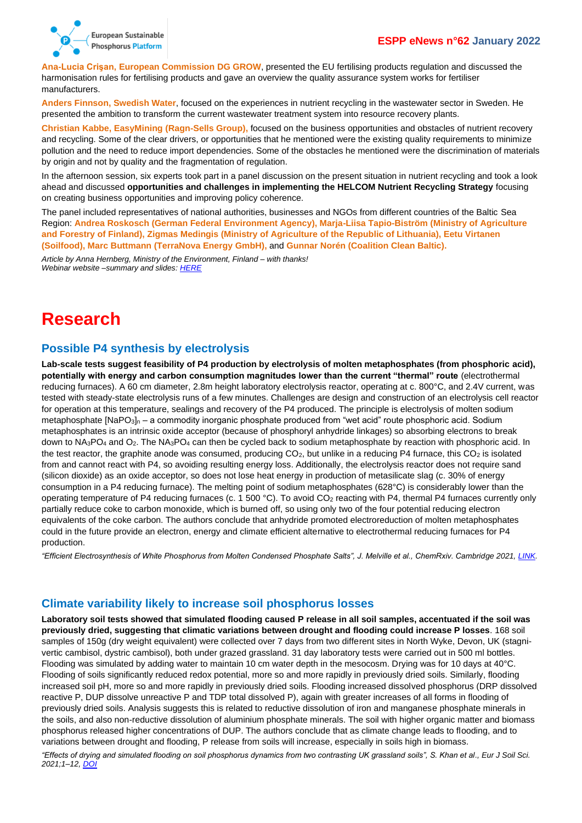

**Ana-Lucia Crişan, European Commission DG GROW**, presented the EU fertilising products regulation and discussed the harmonisation rules for fertilising products and gave an overview the quality assurance system works for fertiliser manufacturers.

**Anders Finnson, Swedish Water**, focused on the experiences in nutrient recycling in the wastewater sector in Sweden. He presented the ambition to transform the current wastewater treatment system into resource recovery plants.

**Christian Kabbe, EasyMining (Ragn-Sells Group),** focused on the business opportunities and obstacles of nutrient recovery and recycling. Some of the clear drivers, or opportunities that he mentioned were the existing quality requirements to minimize pollution and the need to reduce import dependencies. Some of the obstacles he mentioned were the discrimination of materials by origin and not by quality and the fragmentation of regulation.

In the afternoon session, six experts took part in a panel discussion on the present situation in nutrient recycling and took a look ahead and discussed **opportunities and challenges in implementing the HELCOM Nutrient Recycling Strategy** focusing on creating business opportunities and improving policy coherence.

The panel included representatives of national authorities, businesses and NGOs from different countries of the Baltic Sea Region: **Andrea Roskosch (German Federal Environment Agency), Marja-Liisa Tapio-Biström (Ministry of Agriculture and Forestry of Finland), Zigmas Medingis (Ministry of Agriculture of the Republic of Lithuania), Eetu Virtanen (Soilfood), Marc Buttmann (TerraNova Energy GmbH),** and **Gunnar Norén (Coalition Clean Baltic).** 

*Article by Anna Hernberg, Ministry of the Environment, Finland – with thanks! Webinar website –summary and slides: [HERE](https://www.balticsea-region-strategy.eu/pa-nutri-news/591309-pa-nutri-and-bioeconomy-webinar-on-baltic-sea-regional-nutrient-recycling-strategy)*

# <span id="page-6-0"></span>**Research**

### <span id="page-6-1"></span>**Possible P4 synthesis by electrolysis**

**Lab-scale tests suggest feasibility of P4 production by electrolysis of molten metaphosphates (from phosphoric acid), potentially with energy and carbon consumption magnitudes lower than the current "thermal" route** (electrothermal reducing furnaces). A 60 cm diameter, 2.8m height laboratory electrolysis reactor, operating at c. 800°C, and 2.4V current, was tested with steady-state electrolysis runs of a few minutes. Challenges are design and construction of an electrolysis cell reactor for operation at this temperature, sealings and recovery of the P4 produced. The principle is electrolysis of molten sodium metaphosphate [NaPO<sub>3</sub>]<sub>n</sub> – a commodity inorganic phosphate produced from "wet acid" route phosphoric acid. Sodium metaphosphates is an intrinsic oxide acceptor (because of phosphoryl anhydride linkages) so absorbing electrons to break down to NA<sub>3</sub>PO<sub>4</sub> and O<sub>2</sub>. The NA<sub>3</sub>PO<sub>4</sub> can then be cycled back to sodium metaphosphate by reaction with phosphoric acid. In the test reactor, the graphite anode was consumed, producing  $CO<sub>2</sub>$ , but unlike in a reducing P4 furnace, this  $CO<sub>2</sub>$  is isolated from and cannot react with P4, so avoiding resulting energy loss. Additionally, the electrolysis reactor does not require sand (silicon dioxide) as an oxide acceptor, so does not lose heat energy in production of metasilicate slag (c. 30% of energy consumption in a P4 reducing furnace). The melting point of sodium metaphosphates (628°C) is considerably lower than the operating temperature of P4 reducing furnaces (c. 1 500 °C). To avoid CO<sup>2</sup> reacting with P4, thermal P4 furnaces currently only partially reduce coke to carbon monoxide, which is burned off, so using only two of the four potential reducing electron equivalents of the coke carbon. The authors conclude that anhydride promoted electroreduction of molten metaphosphates could in the future provide an electron, energy and climate efficient alternative to electrothermal reducing furnaces for P4 production.

*"Efficient Electrosynthesis of White Phosphorus from Molten Condensed Phosphate Salts", J. Melville et al., ChemRxiv. Cambridge 2021, [LINK.](https://chemrxiv.org/engage/chemrxiv/article-details/6182f50c8ac7a2117766e518)*

#### <span id="page-6-2"></span>**Climate variability likely to increase soil phosphorus losses**

**Laboratory soil tests showed that simulated flooding caused P release in all soil samples, accentuated if the soil was previously dried, suggesting that climatic variations between drought and flooding could increase P losses**. 168 soil samples of 150g (dry weight equivalent) were collected over 7 days from two different sites in North Wyke, Devon, UK (stagnivertic cambisol, dystric cambisol), both under grazed grassland. 31 day laboratory tests were carried out in 500 ml bottles. Flooding was simulated by adding water to maintain 10 cm water depth in the mesocosm. Drying was for 10 days at 40°C. Flooding of soils significantly reduced redox potential, more so and more rapidly in previously dried soils. Similarly, flooding increased soil pH, more so and more rapidly in previously dried soils. Flooding increased dissolved phosphorus (DRP dissolved reactive P, DUP dissolve unreactive P and TDP total dissolved P), again with greater increases of all forms in flooding of previously dried soils. Analysis suggests this is related to reductive dissolution of iron and manganese phosphate minerals in the soils, and also non-reductive dissolution of aluminium phosphate minerals. The soil with higher organic matter and biomass phosphorus released higher concentrations of DUP. The authors conclude that as climate change leads to flooding, and to variations between drought and flooding, P release from soils will increase, especially in soils high in biomass.

*"Effects of drying and simulated flooding on soil phosphorus dynamics from two contrasting UK grassland soils", S. Khan et al., Eur J Soil Sci. 2021;1–12, [DOI](https://dx.doi.org/10.1111/ejss.13196)*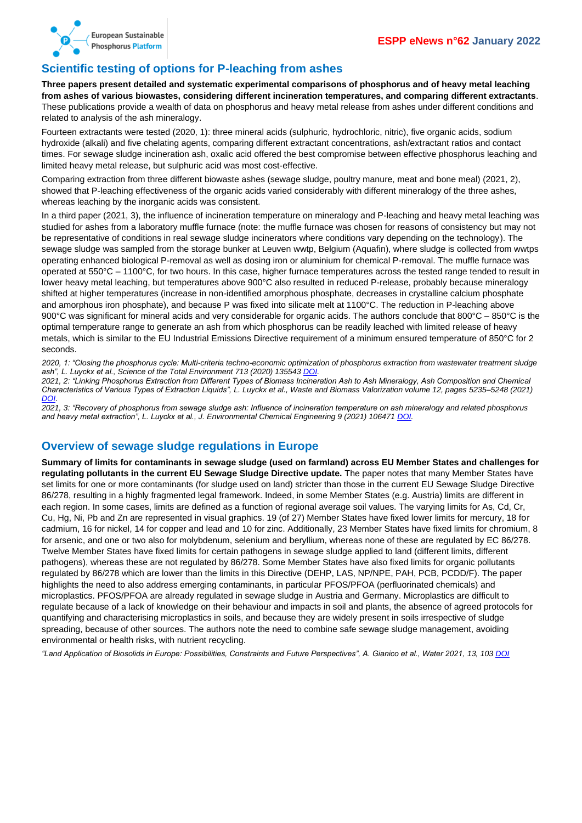

### <span id="page-7-0"></span>**Scientific testing of options for P-leaching from ashes**

**Three papers present detailed and systematic experimental comparisons of phosphorus and of heavy metal leaching from ashes of various biowastes, considering different incineration temperatures, and comparing different extractants**. These publications provide a wealth of data on phosphorus and heavy metal release from ashes under different conditions and related to analysis of the ash mineralogy.

Fourteen extractants were tested (2020, 1): three mineral acids (sulphuric, hydrochloric, nitric), five organic acids, sodium hydroxide (alkali) and five chelating agents, comparing different extractant concentrations, ash/extractant ratios and contact times. For sewage sludge incineration ash, oxalic acid offered the best compromise between effective phosphorus leaching and limited heavy metal release, but sulphuric acid was most cost-effective.

Comparing extraction from three different biowaste ashes (sewage sludge, poultry manure, meat and bone meal) (2021, 2), showed that P-leaching effectiveness of the organic acids varied considerably with different mineralogy of the three ashes, whereas leaching by the inorganic acids was consistent.

In a third paper (2021, 3), the influence of incineration temperature on mineralogy and P-leaching and heavy metal leaching was studied for ashes from a laboratory muffle furnace (note: the muffle furnace was chosen for reasons of consistency but may not be representative of conditions in real sewage sludge incinerators where conditions vary depending on the technology). The sewage sludge was sampled from the storage bunker at Leuven wwtp, Belgium (Aquafin), where sludge is collected from wwtps operating enhanced biological P-removal as well as dosing iron or aluminium for chemical P-removal. The muffle furnace was operated at 550°C – 1100°C, for two hours. In this case, higher furnace temperatures across the tested range tended to result in lower heavy metal leaching, but temperatures above 900°C also resulted in reduced P-release, probably because mineralogy shifted at higher temperatures (increase in non-identified amorphous phosphate, decreases in crystalline calcium phosphate and amorphous iron phosphate), and because P was fixed into silicate melt at 1100°C. The reduction in P-leaching above 900°C was significant for mineral acids and very considerable for organic acids. The authors conclude that 800°C – 850°C is the optimal temperature range to generate an ash from which phosphorus can be readily leached with limited release of heavy metals, which is similar to the EU Industrial Emissions Directive requirement of a minimum ensured temperature of 850°C for 2 seconds.

*2020, 1: "Closing the phosphorus cycle: Multi-criteria techno-economic optimization of phosphorus extraction from wastewater treatment sludge ash", L. Luyckx et al., Science of the Total Environment 713 (2020) 135543 [DOI.](https://doi.org/10.1016/j.scitotenv.2019.135543)*

*2021, 2: "Linking Phosphorus Extraction from Different Types of Biomass Incineration Ash to Ash Mineralogy, Ash Composition and Chemical Characteristics of Various Types of Extraction Liquids", L. Luyckx et al., Waste and Biomass Valorization volume 12, pages 5235–5248 (2021) [DOI.](https://doi.org/10.1007/s12649-021-01368-3)*

*2021, 3: "Recovery of phosphorus from sewage sludge ash: Influence of incineration temperature on ash mineralogy and related phosphorus and heavy metal extraction", L. Luyckx et al., J. Environmental Chemical Engineering 9 (2021) 106471 [DOI.](https://doi.org/10.1016/j.jece.2021.106471)*

#### <span id="page-7-1"></span>**Overview of sewage sludge regulations in Europe**

**Summary of limits for contaminants in sewage sludge (used on farmland) across EU Member States and challenges for regulating pollutants in the current EU Sewage Sludge Directive update.** The paper notes that many Member States have set limits for one or more contaminants (for sludge used on land) stricter than those in the current EU Sewage Sludge Directive 86/278, resulting in a highly fragmented legal framework. Indeed, in some Member States (e.g. Austria) limits are different in each region. In some cases, limits are defined as a function of regional average soil values. The varying limits for As, Cd, Cr, Cu, Hg, Ni, Pb and Zn are represented in visual graphics. 19 (of 27) Member States have fixed lower limits for mercury, 18 for cadmium, 16 for nickel, 14 for copper and lead and 10 for zinc. Additionally, 23 Member States have fixed limits for chromium, 8 for arsenic, and one or two also for molybdenum, selenium and beryllium, whereas none of these are regulated by EC 86/278. Twelve Member States have fixed limits for certain pathogens in sewage sludge applied to land (different limits, different pathogens), whereas these are not regulated by 86/278. Some Member States have also fixed limits for organic pollutants regulated by 86/278 which are lower than the limits in this Directive (DEHP, LAS, NP/NPE, PAH, PCB, PCDD/F). The paper highlights the need to also address emerging contaminants, in particular PFOS/PFOA (perfluorinated chemicals) and microplastics. PFOS/PFOA are already regulated in sewage sludge in Austria and Germany. Microplastics are difficult to regulate because of a lack of knowledge on their behaviour and impacts in soil and plants, the absence of agreed protocols for quantifying and characterising microplastics in soils, and because they are widely present in soils irrespective of sludge spreading, because of other sources. The authors note the need to combine safe sewage sludge management, avoiding environmental or health risks, with nutrient recycling.

*"Land Application of Biosolids in Europe: Possibilities, Constraints and Future Perspectives", A. Gianico et al., Water 2021, 13, 103 [DOI](https://doi.org/10.3390/w13010103)*